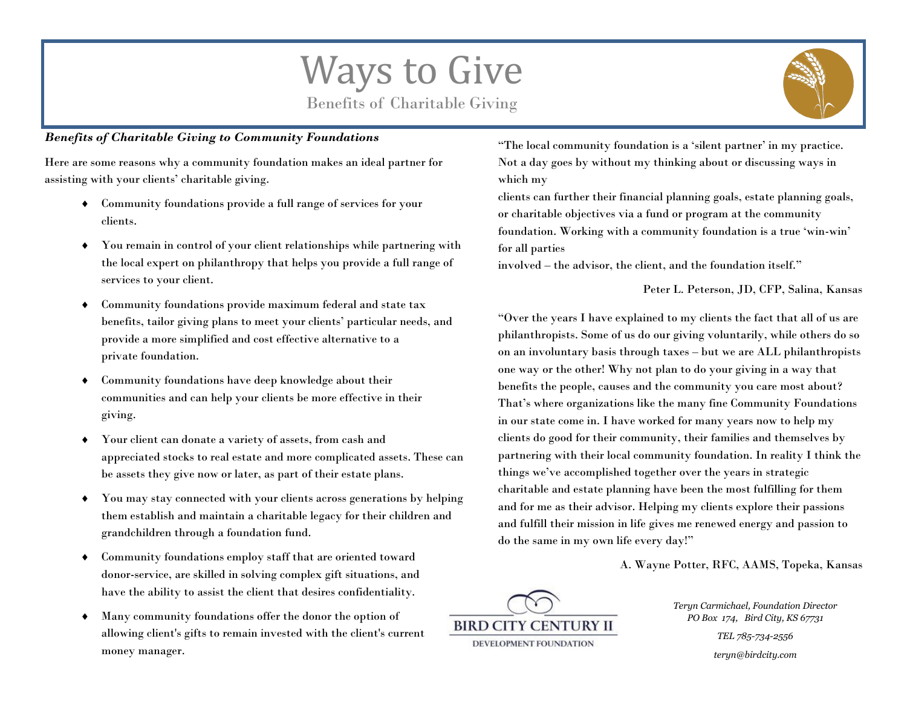## Ways to Give

Benefits of Charitable Giving

## *Benefits of Charitable Giving to Community Foundations*

Here are some reasons why a community foundation makes an ideal partner for assisting with your clients' charitable giving.

- Community foundations provide a full range of services for your clients.
- You remain in control of your client relationships while partnering with the local expert on philanthropy that helps you provide a full range of services to your client.
- Community foundations provide maximum federal and state tax benefits, tailor giving plans to meet your clients' particular needs, and provide a more simplified and cost effective alternative to a private foundation.
- Community foundations have deep knowledge about their communities and can help your clients be more effective in their giving.
- Your client can donate a variety of assets, from cash and appreciated stocks to real estate and more complicated assets. These can be assets they give now or later, as part of their estate plans.
- You may stay connected with your clients across generations by helping them establish and maintain a charitable legacy for their children and grandchildren through a foundation fund.
- Community foundations employ staff that are oriented toward donor-service, are skilled in solving complex gift situations, and have the ability to assist the client that desires confidentiality.
- Many community foundations offer the donor the option of allowing client's gifts to remain invested with the client's current money manager.

"The local community foundation is a 'silent partner' in my practice. Not a day goes by without my thinking about or discussing ways in which my

clients can further their financial planning goals, estate planning goals, or charitable objectives via a fund or program at the community foundation. Working with a community foundation is a true 'win-win' for all parties

involved – the advisor, the client, and the foundation itself."

Peter L. Peterson, JD, CFP, Salina, Kansas

"Over the years I have explained to my clients the fact that all of us are philanthropists. Some of us do our giving voluntarily, while others do so on an involuntary basis through taxes – but we are ALL philanthropists one way or the other! Why not plan to do your giving in a way that benefits the people, causes and the community you care most about? That's where organizations like the many fine Community Foundations in our state come in. I have worked for many years now to help my clients do good for their community, their families and themselves by partnering with their local community foundation. In reality I think the things we've accomplished together over the years in strategic charitable and estate planning have been the most fulfilling for them and for me as their advisor. Helping my clients explore their passions and fulfill their mission in life gives me renewed energy and passion to do the same in my own life every day!"

A. Wayne Potter, RFC, AAMS, Topeka, Kansas



*Teryn Carmichael, Foundation Director PO Box 174, Bird City, KS 67731*

> *TEL 785-734-2556 teryn@birdcity.com*